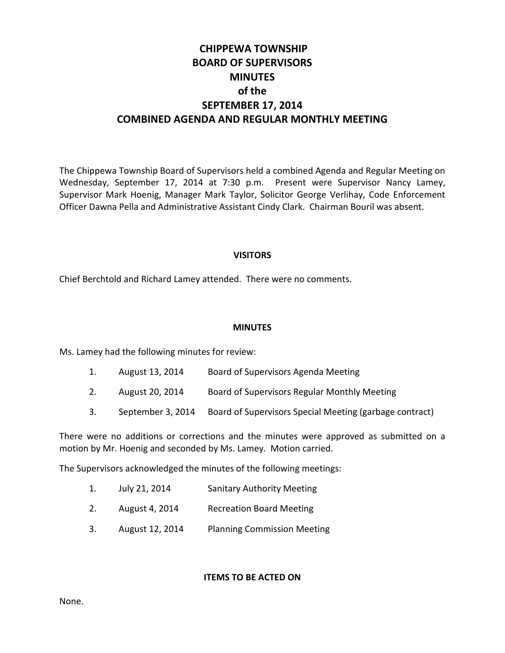# **CHIPPEWA TOWNSHIP BOARD OF SUPERVISORS MINUTES of the SEPTEMBER 17, 2014 COMBINED AGENDA AND REGULAR MONTHLY MEETING**

The Chippewa Township Board of Supervisors held a combined Agenda and Regular Meeting on Wednesday, September 17, 2014 at 7:30 p.m. Present were Supervisor Nancy Lamey, Supervisor Mark Hoenig, Manager Mark Taylor, Solicitor George Verlihay, Code Enforcement Officer Dawna Pella and Administrative Assistant Cindy Clark. Chairman Bouril was absent.

## **VISITORS**

Chief Berchtold and Richard Lamey attended. There were no comments.

#### **MINUTES**

Ms. Lamey had the following minutes for review:

- 1. August 13, 2014 Board of Supervisors Agenda Meeting
- 2. August 20, 2014 Board of Supervisors Regular Monthly Meeting
- 3. September 3, 2014 Board of Supervisors Special Meeting (garbage contract)

There were no additions or corrections and the minutes were approved as submitted on a motion by Mr. Hoenig and seconded by Ms. Lamey. Motion carried.

The Supervisors acknowledged the minutes of the following meetings:

- 1. July 21, 2014 Sanitary Authority Meeting
- 2. August 4, 2014 Recreation Board Meeting
- 3. August 12, 2014 Planning Commission Meeting

**ITEMS TO BE ACTED ON**

None.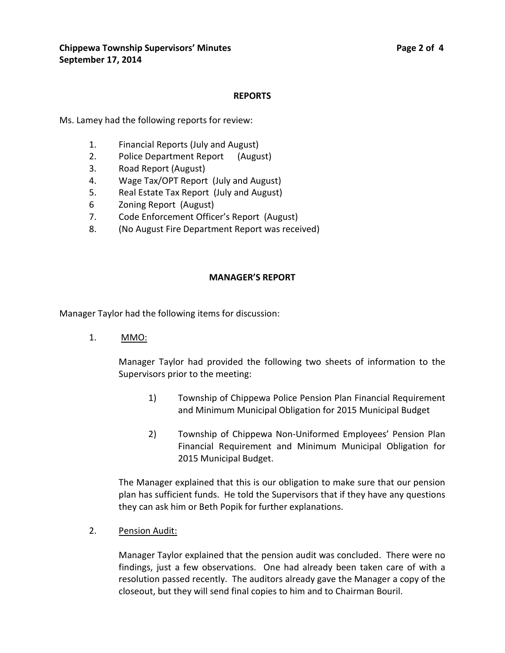#### **REPORTS**

Ms. Lamey had the following reports for review:

- 1. Financial Reports (July and August)
- 2. Police Department Report (August)
- 3. Road Report (August)
- 4. Wage Tax/OPT Report (July and August)
- 5. Real Estate Tax Report (July and August)
- 6 Zoning Report (August)
- 7. Code Enforcement Officer's Report (August)
- 8. (No August Fire Department Report was received)

#### **MANAGER'S REPORT**

Manager Taylor had the following items for discussion:

1. MMO:

Manager Taylor had provided the following two sheets of information to the Supervisors prior to the meeting:

- 1) Township of Chippewa Police Pension Plan Financial Requirement and Minimum Municipal Obligation for 2015 Municipal Budget
- 2) Township of Chippewa Non-Uniformed Employees' Pension Plan Financial Requirement and Minimum Municipal Obligation for 2015 Municipal Budget.

The Manager explained that this is our obligation to make sure that our pension plan has sufficient funds. He told the Supervisors that if they have any questions they can ask him or Beth Popik for further explanations.

2. Pension Audit:

Manager Taylor explained that the pension audit was concluded. There were no findings, just a few observations. One had already been taken care of with a resolution passed recently. The auditors already gave the Manager a copy of the closeout, but they will send final copies to him and to Chairman Bouril.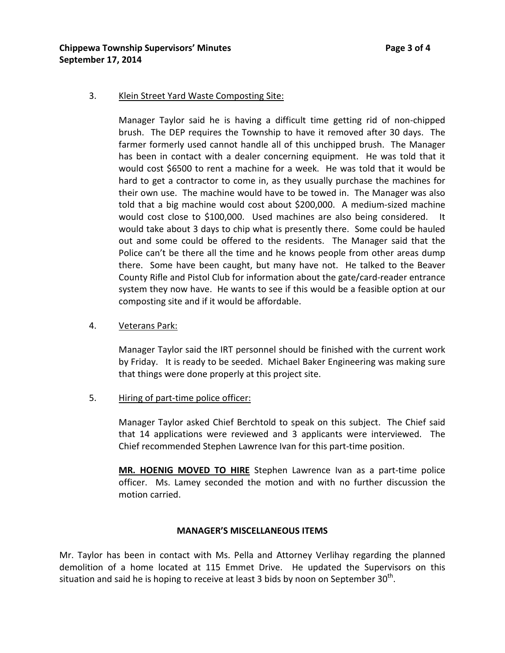## 3. Klein Street Yard Waste Composting Site:

Manager Taylor said he is having a difficult time getting rid of non-chipped brush. The DEP requires the Township to have it removed after 30 days. The farmer formerly used cannot handle all of this unchipped brush. The Manager has been in contact with a dealer concerning equipment. He was told that it would cost \$6500 to rent a machine for a week. He was told that it would be hard to get a contractor to come in, as they usually purchase the machines for their own use. The machine would have to be towed in. The Manager was also told that a big machine would cost about \$200,000. A medium-sized machine would cost close to \$100,000. Used machines are also being considered. It would take about 3 days to chip what is presently there. Some could be hauled out and some could be offered to the residents. The Manager said that the Police can't be there all the time and he knows people from other areas dump there. Some have been caught, but many have not. He talked to the Beaver County Rifle and Pistol Club for information about the gate/card-reader entrance system they now have. He wants to see if this would be a feasible option at our composting site and if it would be affordable.

## 4. Veterans Park:

Manager Taylor said the IRT personnel should be finished with the current work by Friday. It is ready to be seeded. Michael Baker Engineering was making sure that things were done properly at this project site.

## 5. Hiring of part-time police officer:

Manager Taylor asked Chief Berchtold to speak on this subject. The Chief said that 14 applications were reviewed and 3 applicants were interviewed. The Chief recommended Stephen Lawrence Ivan for this part-time position.

**MR. HOENIG MOVED TO HIRE** Stephen Lawrence Ivan as a part-time police officer. Ms. Lamey seconded the motion and with no further discussion the motion carried.

#### **MANAGER'S MISCELLANEOUS ITEMS**

Mr. Taylor has been in contact with Ms. Pella and Attorney Verlihay regarding the planned demolition of a home located at 115 Emmet Drive. He updated the Supervisors on this situation and said he is hoping to receive at least 3 bids by noon on September  $30^{th}$ .